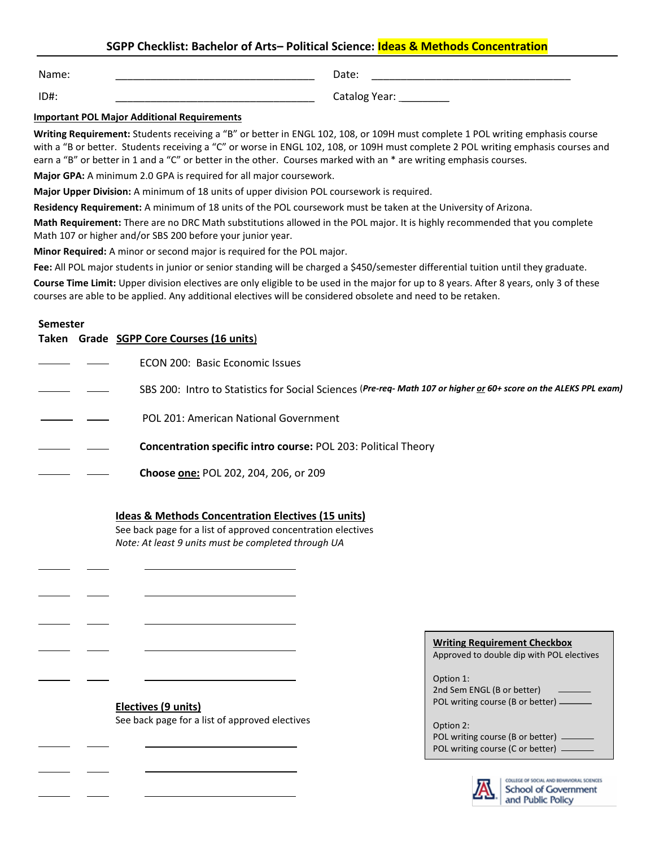# **SGPP Checklist: Bachelor of Arts– Political Science: Ideas & Methods Concentration**

Name: \_\_\_\_\_\_\_\_\_\_\_\_\_\_\_\_\_\_\_\_\_\_\_\_\_\_\_\_\_\_\_\_\_\_

Date: \_\_\_\_\_\_\_\_\_\_\_\_\_\_\_\_\_\_\_\_\_\_\_\_\_\_\_\_\_\_\_\_\_\_

ID#: \_\_\_\_\_\_\_\_\_\_\_\_\_\_\_\_\_\_\_\_\_\_\_\_\_\_\_\_\_\_\_\_\_\_

Catalog Year: \_\_\_\_\_\_\_\_\_\_

### **Important POL Major Additional Requirements**

**Writing Requirement:** Students receiving a "B" or better in ENGL 102, 108, or 109H must complete 1 POL writing emphasis course with a "B or better. Students receiving a "C" or worse in ENGL 102, 108, or 109H must complete 2 POL writing emphasis courses and earn a "B" or better in 1 and a "C" or better in the other. Courses marked with an \* are writing emphasis courses.

**Major GPA:** A minimum 2.0 GPA is required for all major coursework.

**Major Upper Division:** A minimum of 18 units of upper division POL coursework is required.

**Residency Requirement:** A minimum of 18 units of the POL coursework must be taken at the University of Arizona.

**Math Requirement:** There are no DRC Math substitutions allowed in the POL major. It is highly recommended that you complete Math 107 or higher and/or SBS 200 before your junior year.

**Minor Required:** A minor or second major is required for the POL major.

Fee: All POL major students in junior or senior standing will be charged a \$450/semester differential tuition until they graduate.

**Course Time Limit:** Upper division electives are only eligible to be used in the major for up to 8 years. After 8 years, only 3 of these courses are able to be applied. Any additional electives will be considered obsolete and need to be retaken.

#### **Semester**

 $\overline{a}$ 

l

 $\overline{a}$ 

 $\overline{a}$ 

֦

l

|  | Taken Grade SGPP Core Courses (16 units)                                                                          |
|--|-------------------------------------------------------------------------------------------------------------------|
|  | ECON 200: Basic Economic Issues                                                                                   |
|  | SBS 200: Intro to Statistics for Social Sciences (Pre-req- Math 107 or higher or 60+ score on the ALEKS PPL exam) |
|  | POL 201: American National Government                                                                             |
|  | <b>Concentration specific intro course: POL 203: Political Theory</b>                                             |
|  | Choose one: POL 202, 204, 206, or 209                                                                             |

### **Ideas & Methods Concentration Electives (15 units)**

See back page for a list of approved concentration electives *Note: At least 9 units must be completed through UA*

| Electives (9 units)                            |  |  |  |  |
|------------------------------------------------|--|--|--|--|
| See back page for a list of approved electives |  |  |  |  |

| <b>Writing Requirement Checkbox</b><br>Approved to double dip with POL electives      |  |  |  |  |
|---------------------------------------------------------------------------------------|--|--|--|--|
| Option 1:<br>2nd Sem ENGL (B or better)<br>POL writing course (B or better) -         |  |  |  |  |
| Option 2:<br>POL writing course (B or better) -<br>POL writing course (C or better) - |  |  |  |  |